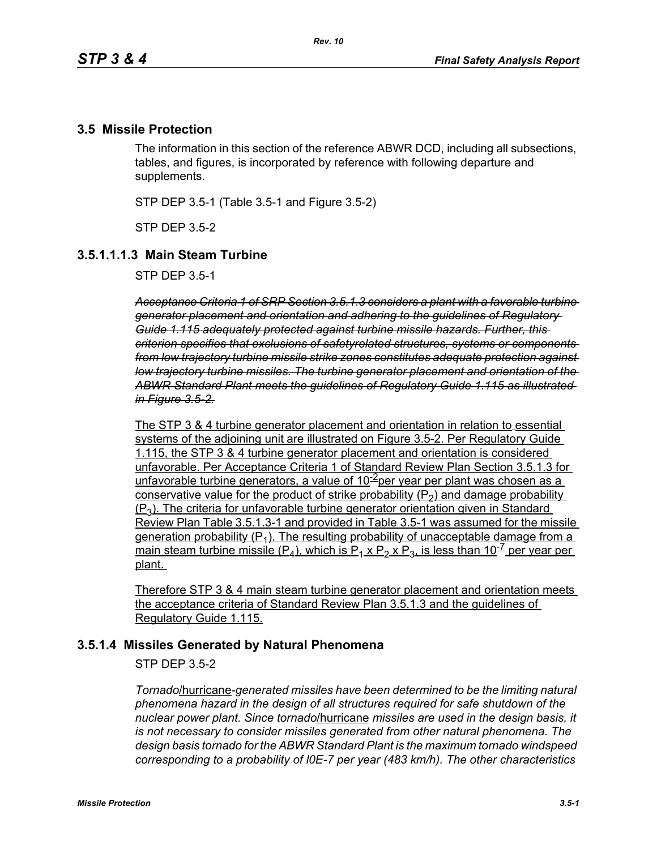### **3.5 Missile Protection**

The information in this section of the reference ABWR DCD, including all subsections, tables, and figures, is incorporated by reference with following departure and supplements.

STP DEP 3.5-1 (Table 3.5-1 and Figure 3.5-2)

STP DEP 3.5-2

### **3.5.1.1.1.3 Main Steam Turbine**

STP DEP 3.5-1

*Acceptance Criteria 1 of SRP Section 3.5.1.3 considers a plant with a favorable turbine generator placement and orientation and adhering to the guidelines of Regulatory Guide 1.115 adequately protected against turbine missile hazards. Further, this criterion specifies that exclusions of safetyrelated structures, systems or components from low trajectory turbine missile strike zones constitutes adequate protection against low trajectory turbine missiles. The turbine generator placement and orientation of the ABWR Standard Plant meets the guidelines of Regulatory Guide 1.115 as illustrated in Figure 3.5-2.*

The STP 3 & 4 turbine generator placement and orientation in relation to essential systems of the adjoining unit are illustrated on Figure 3.5-2. Per Regulatory Guide 1.115, the STP 3 & 4 turbine generator placement and orientation is considered unfavorable. Per Acceptance Criteria 1 of Standard Review Plan Section 3.5.1.3 for unfavorable turbine generators, a value of  $10^{-2}$ per year per plant was chosen as a conservative value for the product of strike probability  $(P_2)$  and damage probability  $(P_3)$ . The criteria for unfavorable turbine generator orientation given in Standard Review Plan Table 3.5.1.3-1 and provided in Table 3.5-1 was assumed for the missile generation probability  $(P_1)$ . The resulting probability of unacceptable damage from a main steam turbine missile (P<sub>4</sub>), which is P<sub>1</sub> x P<sub>2</sub> x P<sub>3</sub>, is less than 10<sup>-7</sup> per year per plant.

Therefore STP 3 & 4 main steam turbine generator placement and orientation meets the acceptance criteria of Standard Review Plan 3.5.1.3 and the guidelines of Regulatory Guide 1.115.

#### **3.5.1.4 Missiles Generated by Natural Phenomena**

STP DEP 3.5-2

*Tornado*/hurricane*-generated missiles have been determined to be the limiting natural phenomena hazard in the design of all structures required for safe shutdown of the nuclear power plant. Since tornado*/hurricane *missiles are used in the design basis, it is not necessary to consider missiles generated from other natural phenomena. The design basis tornado for the ABWR Standard Plant is the maximum tornado windspeed corresponding to a probability of l0E-7 per year (483 km/h). The other characteristics*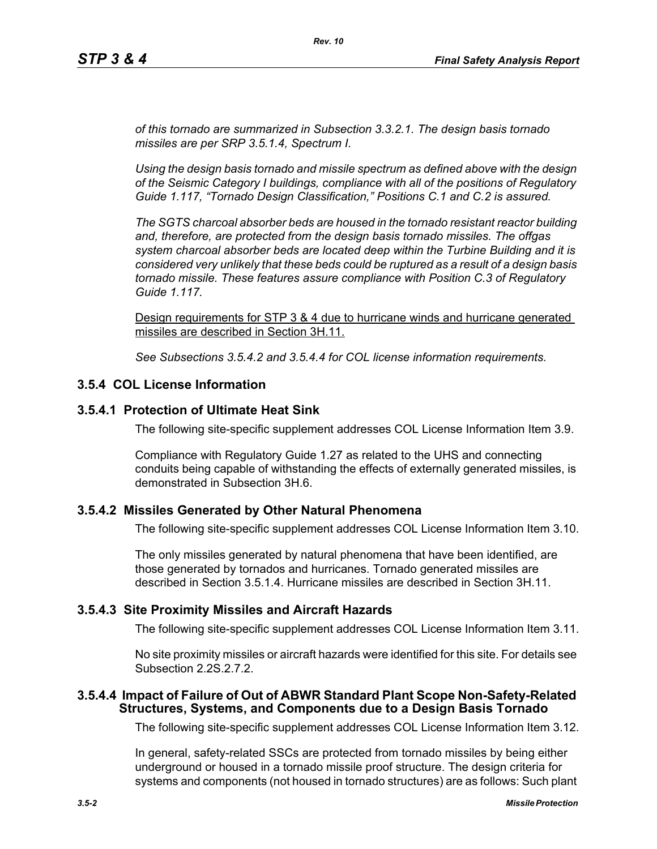*of this tornado are summarized in Subsection 3.3.2.1. The design basis tornado missiles are per SRP 3.5.1.4, Spectrum I.*

*Using the design basis tornado and missile spectrum as defined above with the design of the Seismic Category I buildings, compliance with all of the positions of Regulatory Guide 1.117, "Tornado Design Classification," Positions C.1 and C.2 is assured.*

*The SGTS charcoal absorber beds are housed in the tornado resistant reactor building and, therefore, are protected from the design basis tornado missiles. The offgas system charcoal absorber beds are located deep within the Turbine Building and it is considered very unlikely that these beds could be ruptured as a result of a design basis tornado missile. These features assure compliance with Position C.3 of Regulatory Guide 1.117.*

Design requirements for STP 3 & 4 due to hurricane winds and hurricane generated missiles are described in Section 3H.11.

*See Subsections 3.5.4.2 and 3.5.4.4 for COL license information requirements.*

### **3.5.4 COL License Information**

#### **3.5.4.1 Protection of Ultimate Heat Sink**

The following site-specific supplement addresses COL License Information Item 3.9.

Compliance with Regulatory Guide 1.27 as related to the UHS and connecting conduits being capable of withstanding the effects of externally generated missiles, is demonstrated in Subsection 3H.6.

#### **3.5.4.2 Missiles Generated by Other Natural Phenomena**

The following site-specific supplement addresses COL License Information Item 3.10.

The only missiles generated by natural phenomena that have been identified, are those generated by tornados and hurricanes. Tornado generated missiles are described in Section 3.5.1.4. Hurricane missiles are described in Section 3H.11.

#### **3.5.4.3 Site Proximity Missiles and Aircraft Hazards**

The following site-specific supplement addresses COL License Information Item 3.11.

No site proximity missiles or aircraft hazards were identified for this site. For details see Subsection 2.2S.2.7.2.

#### **3.5.4.4 Impact of Failure of Out of ABWR Standard Plant Scope Non-Safety-Related Structures, Systems, and Components due to a Design Basis Tornado**

The following site-specific supplement addresses COL License Information Item 3.12.

In general, safety-related SSCs are protected from tornado missiles by being either underground or housed in a tornado missile proof structure. The design criteria for systems and components (not housed in tornado structures) are as follows: Such plant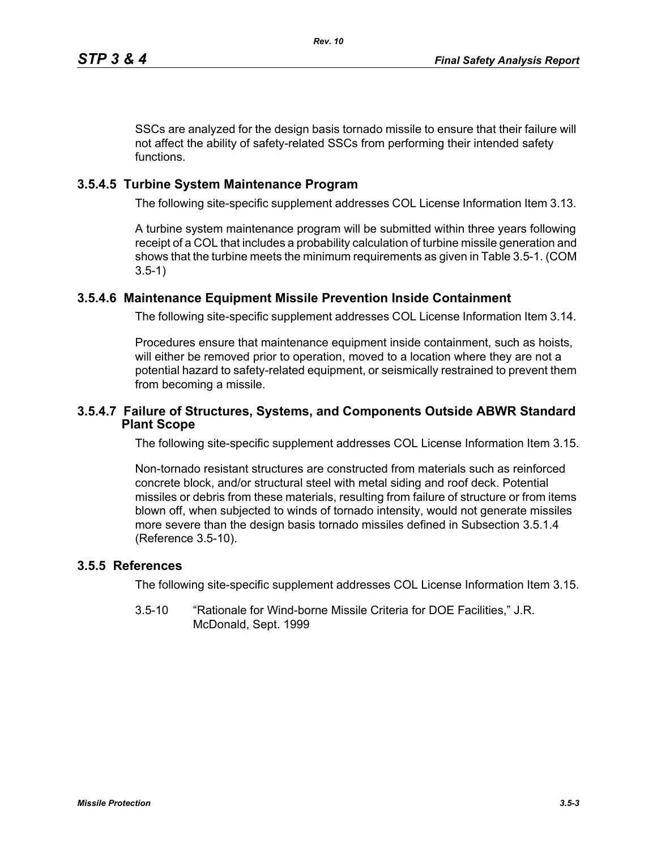SSCs are analyzed for the design basis tornado missile to ensure that their failure will not affect the ability of safety-related SSCs from performing their intended safety functions.

## **3.5.4.5 Turbine System Maintenance Program**

The following site-specific supplement addresses COL License Information Item 3.13.

A turbine system maintenance program will be submitted within three years following receipt of a COL that includes a probability calculation of turbine missile generation and shows that the turbine meets the minimum requirements as given in Table 3.5-1. (COM 3.5-1)

# **3.5.4.6 Maintenance Equipment Missile Prevention Inside Containment**

The following site-specific supplement addresses COL License Information Item 3.14.

Procedures ensure that maintenance equipment inside containment, such as hoists, will either be removed prior to operation, moved to a location where they are not a potential hazard to safety-related equipment, or seismically restrained to prevent them from becoming a missile.

## **3.5.4.7 Failure of Structures, Systems, and Components Outside ABWR Standard Plant Scope**

The following site-specific supplement addresses COL License Information Item 3.15.

Non-tornado resistant structures are constructed from materials such as reinforced concrete block, and/or structural steel with metal siding and roof deck. Potential missiles or debris from these materials, resulting from failure of structure or from items blown off, when subjected to winds of tornado intensity, would not generate missiles more severe than the design basis tornado missiles defined in Subsection 3.5.1.4 (Reference 3.5-10).

## **3.5.5 References**

The following site-specific supplement addresses COL License Information Item 3.15.

3.5-10 "Rationale for Wind-borne Missile Criteria for DOE Facilities," J.R. McDonald, Sept. 1999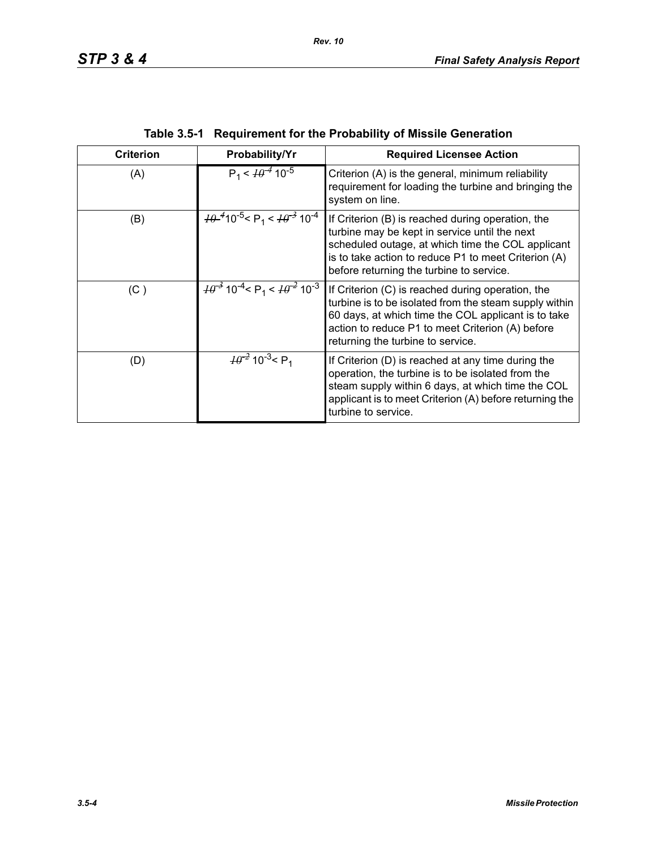| <b>Criterion</b> | Probability/Yr                                                                                           | <b>Required Licensee Action</b>                                                                                                                                                                                                                             |
|------------------|----------------------------------------------------------------------------------------------------------|-------------------------------------------------------------------------------------------------------------------------------------------------------------------------------------------------------------------------------------------------------------|
| (A)              | $P_1 < \frac{1}{9}$ 10 <sup>-5</sup>                                                                     | Criterion (A) is the general, minimum reliability<br>requirement for loading the turbine and bringing the<br>system on line.                                                                                                                                |
| (B)              | $\frac{10^{-4}}{10^{-5}}$ < P <sub>1</sub> < $\frac{10^{-3}}{10^{-4}}$                                   | If Criterion (B) is reached during operation, the<br>turbine may be kept in service until the next<br>scheduled outage, at which time the COL applicant<br>is to take action to reduce P1 to meet Criterion (A)<br>before returning the turbine to service. |
| (C)              | $\frac{10^{-3}}{10^{-4}}$ 10 <sup>-4</sup> < P <sub>1</sub> < $\frac{10^{-2}}{10^{-3}}$ 10 <sup>-3</sup> | If Criterion (C) is reached during operation, the<br>turbine is to be isolated from the steam supply within<br>60 days, at which time the COL applicant is to take<br>action to reduce P1 to meet Criterion (A) before<br>returning the turbine to service. |
| (D)              | $\frac{10^{-2}}{2}$ 10 <sup>-3</sup> < P <sub>1</sub>                                                    | If Criterion (D) is reached at any time during the<br>operation, the turbine is to be isolated from the<br>steam supply within 6 days, at which time the COL<br>applicant is to meet Criterion (A) before returning the<br>turbine to service.              |

| Table 3.5-1 Requirement for the Probability of Missile Generation |  |
|-------------------------------------------------------------------|--|
|                                                                   |  |